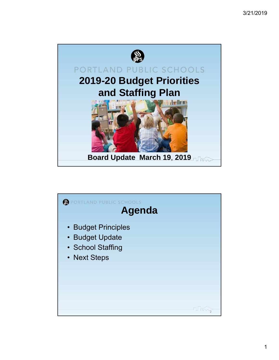

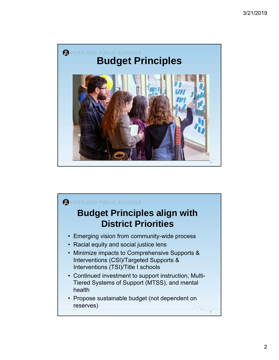

## PORTLAND PUBLIC SCHOOLS **Budget Principles align with District Priorities** • Emerging vision from community-wide process • Racial equity and social justice lens • Minimize impacts to Comprehensive Supports & Interventions (CSI)/Targeted Supports & Interventions (TSI)/Title I schools • Continued investment to support instruction, Multi-Tiered Systems of Support (MTSS), and mental health • Propose sustainable budget (not dependent on reserves)  $\pi$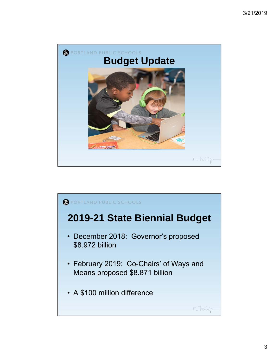

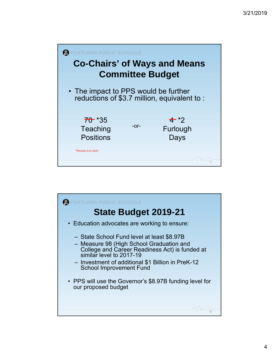

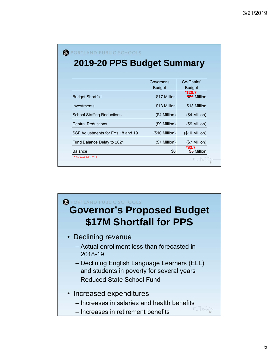| 2019-20 PPS Budget Summary        |                 |                            |
|-----------------------------------|-----------------|----------------------------|
|                                   |                 |                            |
|                                   | Governor's      | Co-Chairs'                 |
|                                   | <b>Budget</b>   | <b>Budget</b>              |
| <b>Budget Shortfall</b>           | \$17 Million    | $*$ \$20.7<br>\$22 Million |
| Investments                       | \$13 Million    | \$13 Million               |
| <b>School Staffing Reductions</b> | $($4$ Million)  | (\$4 Million)              |
| <b>Central Reductions</b>         | $(S9$ Million)  | (\$9 Million)              |
| SSF Adjustments for FYs 18 and 19 | $($10$ Million) | $($10$ Million)            |
| Fund Balance Delay to 2021        | (\$7 Million)   | (\$7 Million)              |
| <b>Balance</b>                    | \$0             | *\$3.7<br>\$5 Million      |
| * Revised 3-21-2019               |                 |                            |

PORTLAND PUBLIC SCHOOLS

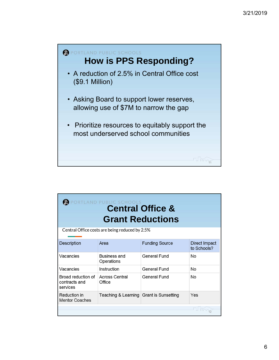

| ORTLAND PUBLIC SCHOOLS<br><b>Central Office &amp;</b><br><b>Grant Reductions</b> |                                         |                       |                              |  |
|----------------------------------------------------------------------------------|-----------------------------------------|-----------------------|------------------------------|--|
| Central Office costs are being reduced by 2.5%                                   |                                         |                       |                              |  |
| <b>Description</b>                                                               | Area                                    | <b>Funding Source</b> | Direct Impact<br>to Schools? |  |
| Vacancies                                                                        | <b>Business and</b><br>Operations       | <b>General Fund</b>   | No                           |  |
| Vacancies                                                                        | Instruction                             | <b>General Fund</b>   | No                           |  |
| Broad reduction of<br>contracts and<br>services                                  | <b>Across Central</b><br>Office         | <b>General Fund</b>   | No                           |  |
| Reduction in<br><b>Mentor Coaches</b>                                            | Teaching & Learning Grant is Sunsetting |                       | Yes                          |  |
|                                                                                  |                                         |                       |                              |  |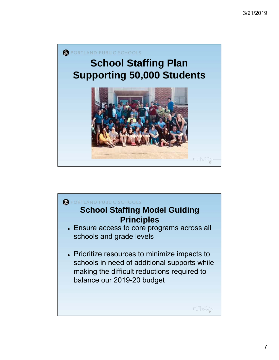

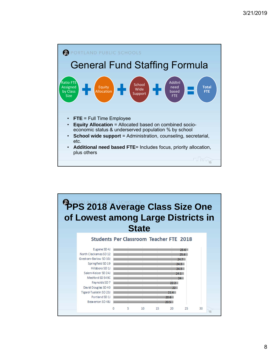

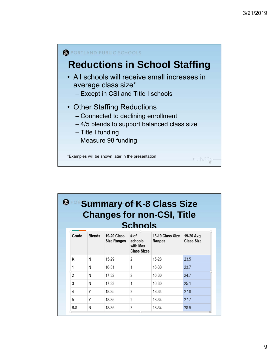

| <b>Summary of K-8 Class Size</b><br><b>Changes for non-CSI, Title</b><br><b>Schools</b> |               |                                          |                                                   |                            |                                |
|-----------------------------------------------------------------------------------------|---------------|------------------------------------------|---------------------------------------------------|----------------------------|--------------------------------|
| Grade                                                                                   | <b>Blends</b> | <b>19-20 Class</b><br><b>Size Ranges</b> | # of<br>schools<br>with Max<br><b>Class Sizes</b> | 18-19 Class Size<br>Ranges | 19-20 Avg<br><b>Class Size</b> |
| K                                                                                       | N             | $15-29$                                  | 2                                                 | $15-28$                    | 23.5                           |
| 1                                                                                       | N             | 16-31                                    | 1                                                 | $16-30$                    | 23.7                           |
| $\overline{2}$                                                                          | N             | $17-32$                                  | 2                                                 | 16-30                      | 24.7                           |
| 3                                                                                       | N             | $17-33$                                  | 1                                                 | 16-30                      | 25.1                           |
| 4                                                                                       | Υ             | 18-35                                    | 3                                                 | 18-34                      | 27.8                           |
| 5                                                                                       | Υ             | 18-35                                    | $\overline{2}$                                    | 18-34                      | 27.7                           |
| $6-8$                                                                                   | N             | 18-35                                    | 3                                                 | 18-34                      | 28.9                           |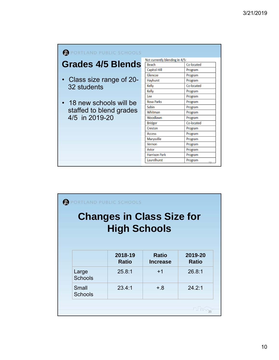| PORTLAND PUBLIC SCHOOLS   |                                |               |
|---------------------------|--------------------------------|---------------|
|                           | Not currently blending in 4/5: |               |
| <b>Grades 4/5 Blends</b>  | <b>Beach</b>                   | Co-located    |
|                           | <b>Capitol Hill</b>            | Program       |
|                           | Glencoe                        | Program       |
| • Class size range of 20- | Hayhurst                       | Program       |
| 32 students               | Kelly                          | Co-located    |
|                           | Kelly                          | Program       |
|                           | Lee                            | Program       |
| • 18 new schools will be  | <b>Rosa Parks</b>              | Program       |
|                           | Sabin                          | Program       |
| staffed to blend grades   | Whitman                        | Program       |
| 4/5 in 2019-20            | Woodlawn                       | Program       |
|                           | <b>Bridger</b>                 | Co-located    |
|                           | Creston                        | Program       |
|                           | <b>Access</b>                  | Program       |
|                           | Marysville                     | Program       |
|                           | Vernon                         | Program       |
|                           | Astor                          | Program       |
|                           | <b>Harrison Park</b>           | Program       |
|                           | Laurelhurst                    | Program<br>10 |
|                           |                                |               |

| ORTLAND PUBLIC SCHOOLS<br><b>Changes in Class Size for</b><br><b>High Schools</b> |                         |                                 |                         |  |
|-----------------------------------------------------------------------------------|-------------------------|---------------------------------|-------------------------|--|
|                                                                                   | 2018-19<br><b>Ratio</b> | <b>Ratio</b><br><b>Increase</b> | 2019-20<br><b>Ratio</b> |  |
| Large<br><b>Schools</b>                                                           | 25.8:1                  | $+1$                            | 26.8:1                  |  |
| Small<br><b>Schools</b>                                                           | 23.4:1                  | $+0.8$                          | 24.2:1                  |  |
|                                                                                   |                         |                                 |                         |  |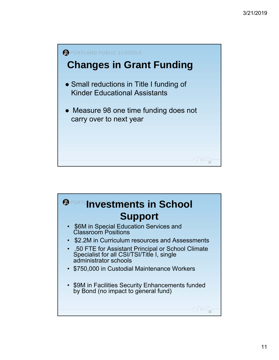

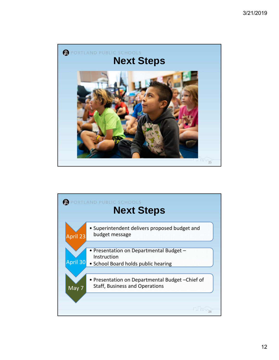